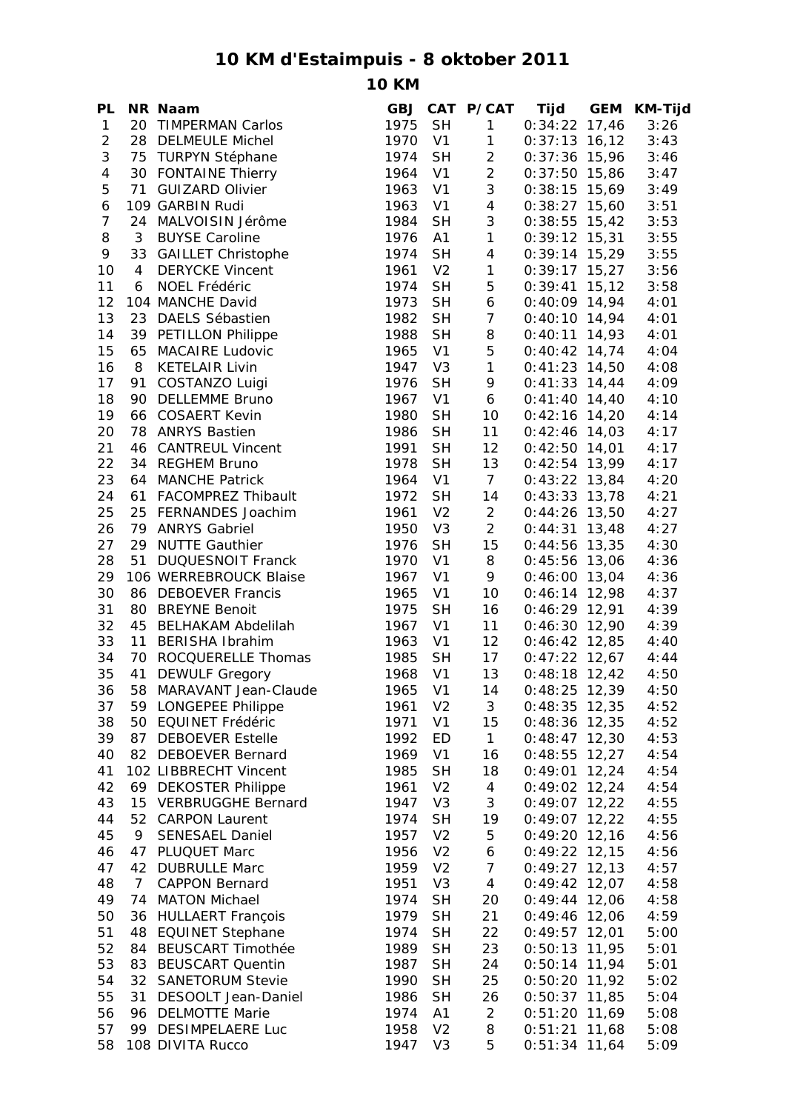## **10 KM d'Estaimpuis - 8 oktober 2011**

**10 KM**

| PL             |                | NR Naam                  |      |                | GBJ CAT P/CAT  | Tijd            | <b>GEM</b> | KM-Tijd |
|----------------|----------------|--------------------------|------|----------------|----------------|-----------------|------------|---------|
| $\mathbf{1}$   |                | 20 TIMPERMAN Carlos      | 1975 | <b>SH</b>      | $\mathbf{1}$   | $0:34:22$ 17,46 |            | 3:26    |
| $\overline{c}$ |                | 28 DELMEULE Michel       | 1970 | V <sub>1</sub> | $\mathbf{1}$   | $0:37:13$ 16,12 |            | 3:43    |
| 3              |                | 75 TURPYN Stéphane       | 1974 | <b>SH</b>      | $\overline{c}$ | $0:37:36$ 15,96 |            | 3:46    |
| $\overline{4}$ |                | 30 FONTAINE Thierry      | 1964 | V <sub>1</sub> | $\overline{2}$ | $0:37:50$ 15,86 |            | 3:47    |
| 5              |                | 71 GUIZARD Olivier       | 1963 | V <sub>1</sub> | 3              | $0:38:15$ 15,69 |            | 3:49    |
| 6              |                | 109 GARBIN Rudi          | 1963 | V <sub>1</sub> | $\overline{4}$ | $0:38:27$ 15,60 |            | 3:51    |
| $\overline{7}$ |                | 24 MALVOISIN Jérôme      | 1984 | <b>SH</b>      | $\mathfrak{S}$ | $0:38:55$ 15,42 |            | 3:53    |
| 8              | 3              | <b>BUYSE Caroline</b>    | 1976 | A1             | $\mathbf{1}$   | $0:39:12$ 15,31 |            | 3:55    |
| 9              |                | 33 GAILLET Christophe    | 1974 | <b>SH</b>      | $\overline{4}$ | $0:39:14$ 15,29 |            | 3:55    |
|                | $\overline{4}$ | <b>DERYCKE Vincent</b>   | 1961 | V <sub>2</sub> | $\mathbf{1}$   |                 |            |         |
| 10             |                |                          |      |                |                | $0:39:17$ 15,27 |            | 3:56    |
| 11             | 6              | NOEL Frédéric            | 1974 | <b>SH</b>      | 5              | $0:39:41$ 15,12 |            | 3:58    |
| 12             |                | 104 MANCHE David         | 1973 | <b>SH</b>      | 6              | $0:40:09$ 14,94 |            | 4:01    |
| 13             |                | 23 DAELS Sébastien       | 1982 | <b>SH</b>      | $\overline{7}$ | $0:40:10$ 14,94 |            | 4:01    |
| 14             | 39             | <b>PETILLON Philippe</b> | 1988 | <b>SH</b>      | 8              | $0:40:11$ 14,93 |            | 4:01    |
| 15             | 65             | <b>MACAIRE Ludovic</b>   | 1965 | V <sub>1</sub> | 5              | $0:40:42$ 14,74 |            | 4:04    |
| 16             | 8              | <b>KETELAIR Livin</b>    | 1947 | V <sub>3</sub> | $\mathbf{1}$   | $0:41:23$ 14,50 |            | 4:08    |
| 17             | 91             | COSTANZO Luigi           | 1976 | <b>SH</b>      | 9              | $0:41:33$ 14,44 |            | 4:09    |
| 18             |                | 90 DELLEMME Bruno        | 1967 | V <sub>1</sub> | 6              | $0:41:40$ 14,40 |            | 4:10    |
| 19             |                | 66 COSAERT Kevin         | 1980 | <b>SH</b>      | 10             | $0:42:16$ 14,20 |            | 4:14    |
| 20             |                | 78 ANRYS Bastien         | 1986 | <b>SH</b>      | 11             | $0:42:46$ 14,03 |            | 4:17    |
| 21             |                | 46 CANTREUL Vincent      | 1991 | <b>SH</b>      | 12             | $0:42:50$ 14,01 |            | 4:17    |
| 22             |                | 34 REGHEM Bruno          | 1978 | <b>SH</b>      | 13             | $0:42:54$ 13,99 |            | 4:17    |
| 23             |                | 64 MANCHE Patrick        | 1964 | V <sub>1</sub> | $\overline{7}$ | $0:43:22$ 13,84 |            | 4:20    |
| 24             |                | 61 FACOMPREZ Thibault    | 1972 | <b>SH</b>      | 14             | $0:43:33$ 13,78 |            | 4:21    |
| 25             |                | 25 FERNANDES Joachim     | 1961 | V <sub>2</sub> | $\overline{a}$ | $0:44:26$ 13,50 |            | 4:27    |
| 26             |                | 79 ANRYS Gabriel         | 1950 | V <sub>3</sub> | $\overline{2}$ | $0:44:31$ 13,48 |            | 4:27    |
| 27             |                | 29 NUTTE Gauthier        | 1976 | <b>SH</b>      | 15             | $0:44:56$ 13,35 |            | 4:30    |
|                |                | 51 DUQUESNOIT Franck     | 1970 | V <sub>1</sub> | 8              |                 |            |         |
| 28             |                |                          |      |                |                | $0:45:56$ 13,06 |            | 4:36    |
| 29             |                | 106 WERREBROUCK Blaise   | 1967 | V <sub>1</sub> | 9              | $0:46:00$ 13,04 |            | 4:36    |
| 30             |                | 86 DEBOEVER Francis      | 1965 | V <sub>1</sub> | 10             | $0:46:14$ 12,98 |            | 4:37    |
| 31             |                | 80 BREYNE Benoit         | 1975 | <b>SH</b>      | 16             | $0:46:29$ 12,91 |            | 4:39    |
| 32             |                | 45 BELHAKAM Abdelilah    | 1967 | V <sub>1</sub> | 11             | $0:46:30$ 12,90 |            | 4:39    |
| 33             | 11             | <b>BERISHA Ibrahim</b>   | 1963 | V <sub>1</sub> | 12             | $0:46:42$ 12,85 |            | 4:40    |
| 34             | 70             | ROCQUERELLE Thomas       | 1985 | <b>SH</b>      | 17             | $0:47:22$ 12,67 |            | 4:44    |
| 35             | 41             | <b>DEWULF Gregory</b>    | 1968 | V <sub>1</sub> | 13             | $0:48:18$ 12,42 |            | 4:50    |
| 36             | 58             | MARAVANT Jean-Claude     | 1965 | V <sub>1</sub> | 14             | $0:48:25$ 12,39 |            | 4:50    |
| 37             |                | 59 LONGEPEE Philippe     | 1961 | V <sub>2</sub> | 3              | $0:48:35$ 12,35 |            | 4:52    |
| 38             | 50             | EQUINET Frédéric         | 1971 | V <sub>1</sub> | 15             | $0:48:36$ 12,35 |            | 4:52    |
| 39             | 87             | <b>DEBOEVER Estelle</b>  | 1992 | ED             | $\mathbf{1}$   | $0:48:47$ 12,30 |            | 4:53    |
| 40             |                | 82 DEBOEVER Bernard      | 1969 | V <sub>1</sub> | 16             | $0:48:55$ 12,27 |            | 4:54    |
| 41             |                | 102 LIBBRECHT Vincent    | 1985 | <b>SH</b>      | 18             | $0:49:01$ 12,24 |            | 4:54    |
| 42             |                | 69 DEKOSTER Philippe     | 1961 | V <sub>2</sub> | $\overline{4}$ | $0:49:02$ 12,24 |            | 4:54    |
| 43             |                | 15 VERBRUGGHE Bernard    | 1947 | V <sub>3</sub> | 3              | $0:49:07$ 12,22 |            | 4:55    |
| 44             |                | 52 CARPON Laurent        | 1974 | <b>SH</b>      | 19             | $0:49:07$ 12,22 |            | 4:55    |
| 45             | 9              | <b>SENESAEL Daniel</b>   | 1957 | V <sub>2</sub> | 5              | $0:49:20$ 12,16 |            | 4:56    |
| 46             | 47             | PLUQUET Marc             | 1956 | V <sub>2</sub> | 6              | $0:49:22$ 12,15 |            | 4:56    |
| 47             | 42             | <b>DUBRULLE Marc</b>     | 1959 | V <sub>2</sub> | $\overline{7}$ | $0:49:27$ 12,13 |            | 4:57    |
| 48             | 7 <sup>1</sup> | <b>CAPPON Bernard</b>    | 1951 | V <sub>3</sub> | $\overline{4}$ | $0:49:42$ 12,07 |            |         |
|                |                |                          | 1974 | <b>SH</b>      |                | $0:49:44$ 12,06 |            | 4:58    |
| 49             |                | 74 MATON Michael         |      |                | 20             |                 |            | 4:58    |
| 50             |                | 36 HULLAERT François     | 1979 | <b>SH</b>      | 21             | $0:49:46$ 12,06 |            | 4:59    |
| 51             |                | 48 EQUINET Stephane      | 1974 | <b>SH</b>      | 22             | $0:49:57$ 12,01 |            | 5:00    |
| 52             | 84             | <b>BEUSCART Timothée</b> | 1989 | <b>SH</b>      | 23             | $0:50:13$ 11,95 |            | 5:01    |
| 53             | 83             | <b>BEUSCART Quentin</b>  | 1987 | <b>SH</b>      | 24             | $0:50:14$ 11,94 |            | 5:01    |
| 54             |                | 32 SANETORUM Stevie      | 1990 | <b>SH</b>      | 25             | $0:50:20$ 11,92 |            | 5:02    |
| 55             | 31             | DESOOLT Jean-Daniel      | 1986 | <b>SH</b>      | 26             | $0:50:37$ 11,85 |            | 5:04    |
| 56             | 96             | <b>DELMOTTE Marie</b>    | 1974 | A1             | $\overline{c}$ | $0:51:20$ 11,69 |            | 5:08    |
| 57             | 99             | <b>DESIMPELAERE Luc</b>  | 1958 | V <sub>2</sub> | 8              | $0:51:21$ 11,68 |            | 5:08    |
| 58             |                | 108 DIVITA Rucco         | 1947 | V <sub>3</sub> | 5              | $0:51:34$ 11,64 |            | 5:09    |